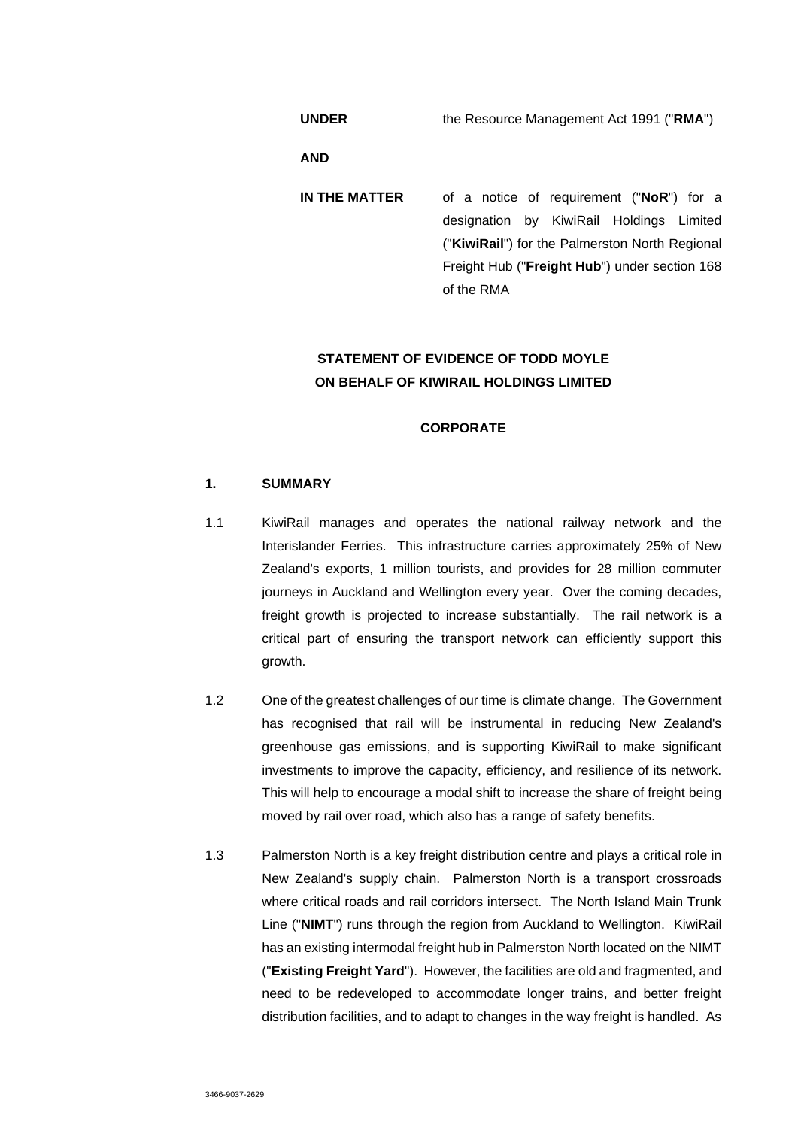**UNDER** the Resource Management Act 1991 ("**RMA**")

**AND** 

**IN THE MATTER** of a notice of requirement ("**NoR**") for a designation by KiwiRail Holdings Limited ("**KiwiRail**") for the Palmerston North Regional Freight Hub ("**Freight Hub**") under section 168 of the RMA

# **STATEMENT OF EVIDENCE OF TODD MOYLE ON BEHALF OF KIWIRAIL HOLDINGS LIMITED**

### **CORPORATE**

# **1. SUMMARY**

- 1.1 KiwiRail manages and operates the national railway network and the Interislander Ferries. This infrastructure carries approximately 25% of New Zealand's exports, 1 million tourists, and provides for 28 million commuter journeys in Auckland and Wellington every year. Over the coming decades, freight growth is projected to increase substantially. The rail network is a critical part of ensuring the transport network can efficiently support this growth.
- 1.2 One of the greatest challenges of our time is climate change. The Government has recognised that rail will be instrumental in reducing New Zealand's greenhouse gas emissions, and is supporting KiwiRail to make significant investments to improve the capacity, efficiency, and resilience of its network. This will help to encourage a modal shift to increase the share of freight being moved by rail over road, which also has a range of safety benefits.
- 1.3 Palmerston North is a key freight distribution centre and plays a critical role in New Zealand's supply chain. Palmerston North is a transport crossroads where critical roads and rail corridors intersect. The North Island Main Trunk Line ("**NIMT**") runs through the region from Auckland to Wellington. KiwiRail has an existing intermodal freight hub in Palmerston North located on the NIMT ("**Existing Freight Yard**"). However, the facilities are old and fragmented, and need to be redeveloped to accommodate longer trains, and better freight distribution facilities, and to adapt to changes in the way freight is handled. As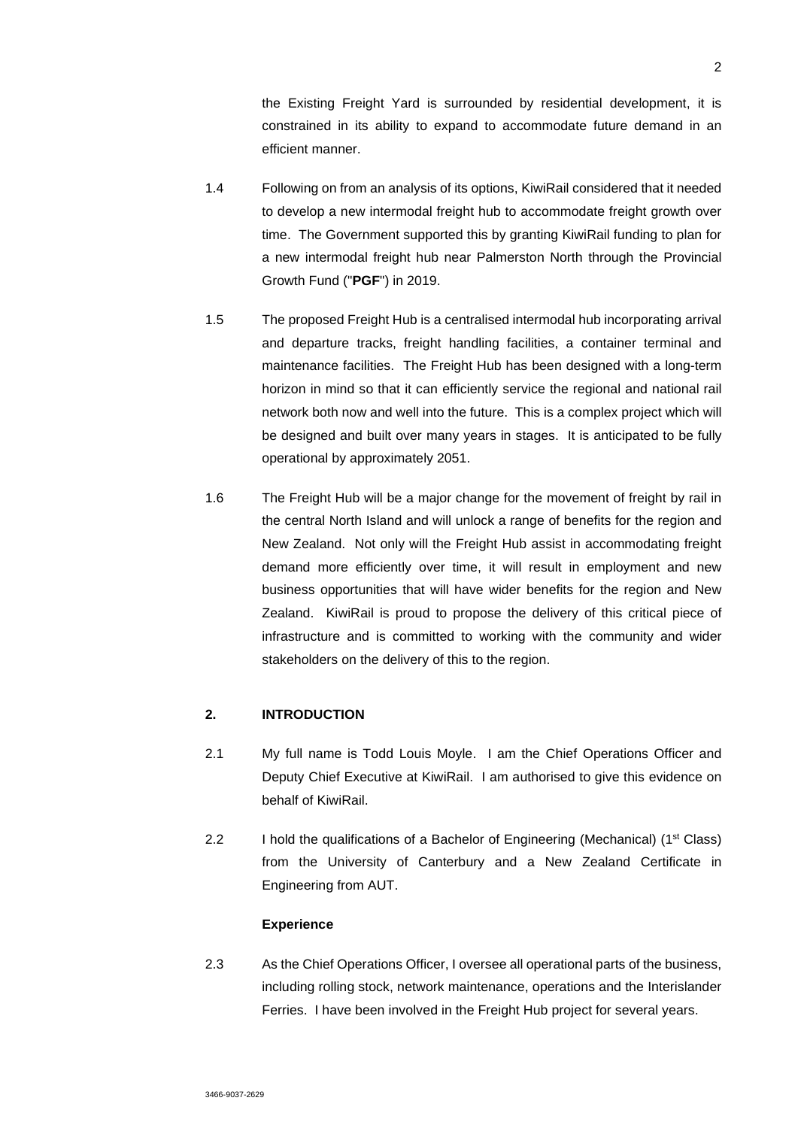the Existing Freight Yard is surrounded by residential development, it is constrained in its ability to expand to accommodate future demand in an efficient manner.

- 1.4 Following on from an analysis of its options, KiwiRail considered that it needed to develop a new intermodal freight hub to accommodate freight growth over time. The Government supported this by granting KiwiRail funding to plan for a new intermodal freight hub near Palmerston North through the Provincial Growth Fund ("**PGF**") in 2019.
- 1.5 The proposed Freight Hub is a centralised intermodal hub incorporating arrival and departure tracks, freight handling facilities, a container terminal and maintenance facilities. The Freight Hub has been designed with a long-term horizon in mind so that it can efficiently service the regional and national rail network both now and well into the future. This is a complex project which will be designed and built over many years in stages. It is anticipated to be fully operational by approximately 2051.
- 1.6 The Freight Hub will be a major change for the movement of freight by rail in the central North Island and will unlock a range of benefits for the region and New Zealand. Not only will the Freight Hub assist in accommodating freight demand more efficiently over time, it will result in employment and new business opportunities that will have wider benefits for the region and New Zealand. KiwiRail is proud to propose the delivery of this critical piece of infrastructure and is committed to working with the community and wider stakeholders on the delivery of this to the region.

### **2. INTRODUCTION**

- 2.1 My full name is Todd Louis Moyle. I am the Chief Operations Officer and Deputy Chief Executive at KiwiRail. I am authorised to give this evidence on behalf of KiwiRail.
- 2.2 I hold the qualifications of a Bachelor of Engineering (Mechanical) (1<sup>st</sup> Class) from the University of Canterbury and a New Zealand Certificate in Engineering from AUT.

### **Experience**

2.3 As the Chief Operations Officer, I oversee all operational parts of the business, including rolling stock, network maintenance, operations and the Interislander Ferries. I have been involved in the Freight Hub project for several years.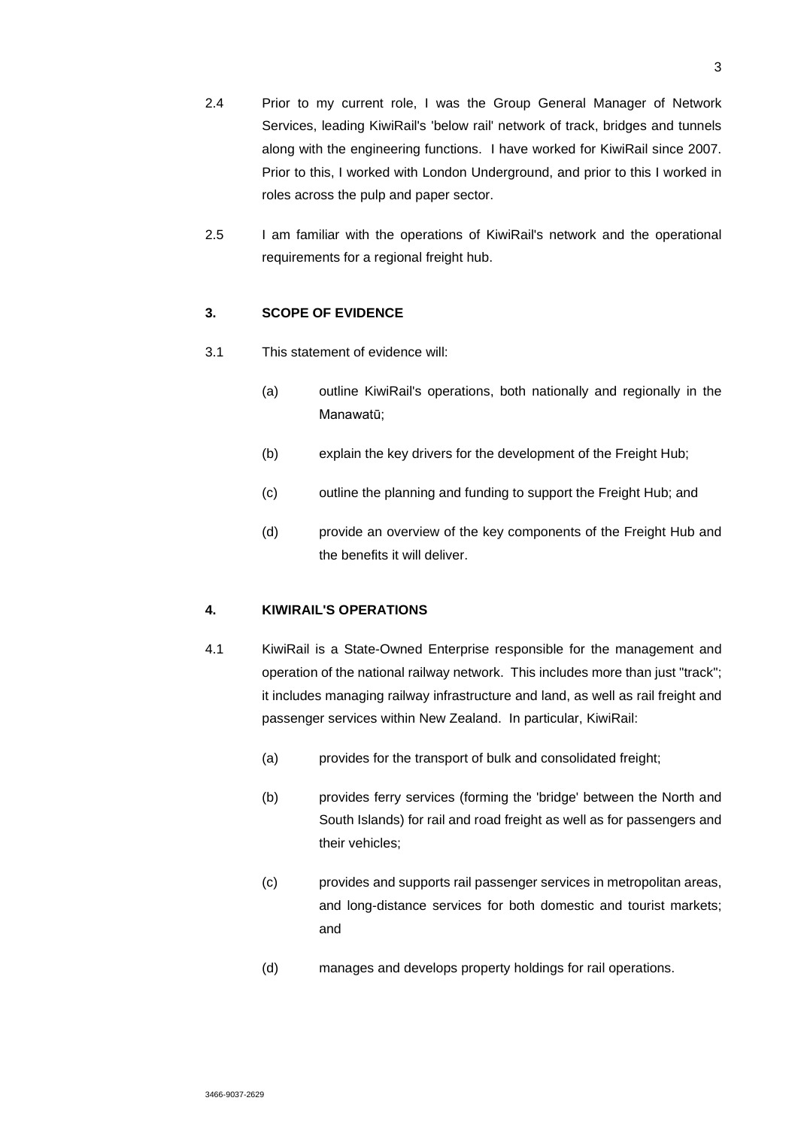- 2.4 Prior to my current role, I was the Group General Manager of Network Services, leading KiwiRail's 'below rail' network of track, bridges and tunnels along with the engineering functions. I have worked for KiwiRail since 2007. Prior to this, I worked with London Underground, and prior to this I worked in roles across the pulp and paper sector.
- 2.5 I am familiar with the operations of KiwiRail's network and the operational requirements for a regional freight hub.

### **3. SCOPE OF EVIDENCE**

- 3.1 This statement of evidence will:
	- (a) outline KiwiRail's operations, both nationally and regionally in the Manawatū;
	- (b) explain the key drivers for the development of the Freight Hub;
	- (c) outline the planning and funding to support the Freight Hub; and
	- (d) provide an overview of the key components of the Freight Hub and the benefits it will deliver.

## **4. KIWIRAIL'S OPERATIONS**

- 4.1 KiwiRail is a State-Owned Enterprise responsible for the management and operation of the national railway network. This includes more than just "track"; it includes managing railway infrastructure and land, as well as rail freight and passenger services within New Zealand. In particular, KiwiRail:
	- (a) provides for the transport of bulk and consolidated freight;
	- (b) provides ferry services (forming the 'bridge' between the North and South Islands) for rail and road freight as well as for passengers and their vehicles;
	- (c) provides and supports rail passenger services in metropolitan areas, and long-distance services for both domestic and tourist markets; and
	- (d) manages and develops property holdings for rail operations.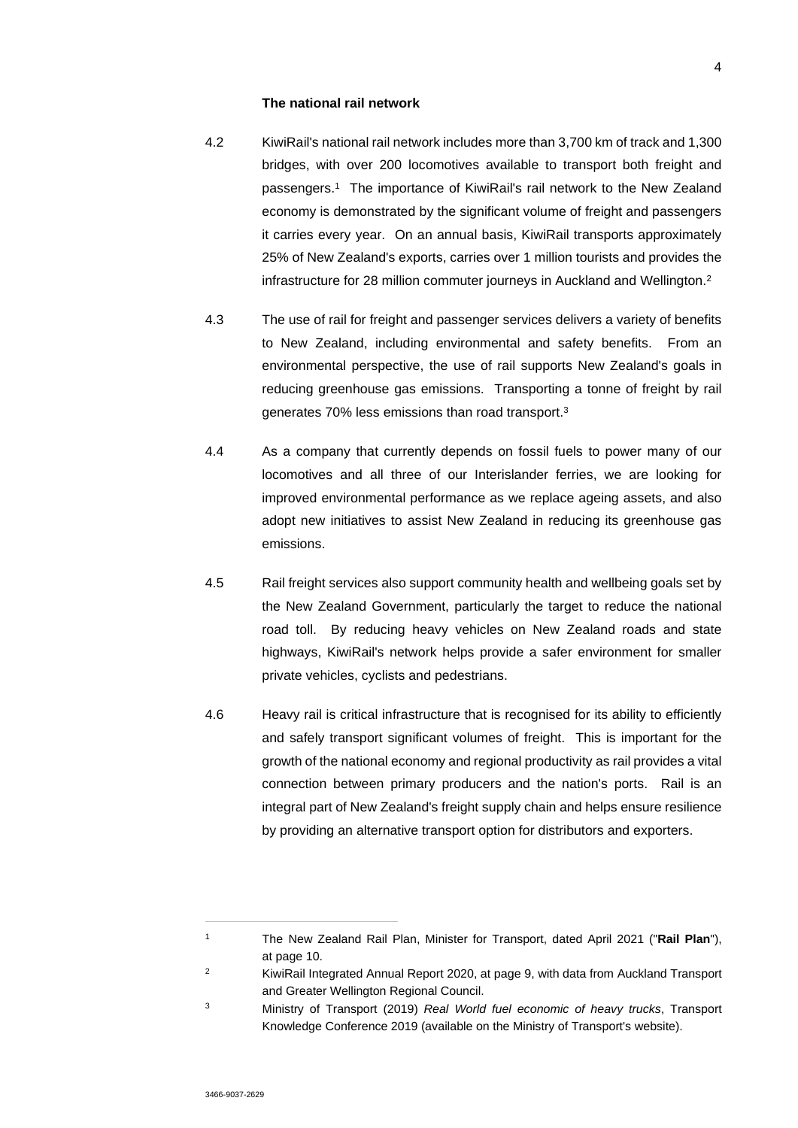#### **The national rail network**

- 4.2 KiwiRail's national rail network includes more than 3,700 km of track and 1,300 bridges, with over 200 locomotives available to transport both freight and passengers.<sup>1</sup> The importance of KiwiRail's rail network to the New Zealand economy is demonstrated by the significant volume of freight and passengers it carries every year. On an annual basis, KiwiRail transports approximately 25% of New Zealand's exports, carries over 1 million tourists and provides the infrastructure for 28 million commuter journeys in Auckland and Wellington.<sup>2</sup>
- 4.3 The use of rail for freight and passenger services delivers a variety of benefits to New Zealand, including environmental and safety benefits. From an environmental perspective, the use of rail supports New Zealand's goals in reducing greenhouse gas emissions. Transporting a tonne of freight by rail generates 70% less emissions than road transport.<sup>3</sup>
- 4.4 As a company that currently depends on fossil fuels to power many of our locomotives and all three of our Interislander ferries, we are looking for improved environmental performance as we replace ageing assets, and also adopt new initiatives to assist New Zealand in reducing its greenhouse gas emissions.
- 4.5 Rail freight services also support community health and wellbeing goals set by the New Zealand Government, particularly the target to reduce the national road toll. By reducing heavy vehicles on New Zealand roads and state highways, KiwiRail's network helps provide a safer environment for smaller private vehicles, cyclists and pedestrians.
- 4.6 Heavy rail is critical infrastructure that is recognised for its ability to efficiently and safely transport significant volumes of freight. This is important for the growth of the national economy and regional productivity as rail provides a vital connection between primary producers and the nation's ports. Rail is an integral part of New Zealand's freight supply chain and helps ensure resilience by providing an alternative transport option for distributors and exporters.

<sup>1</sup> The New Zealand Rail Plan, Minister for Transport, dated April 2021 ("**Rail Plan**"), at page 10.

<sup>&</sup>lt;sup>2</sup> KiwiRail Integrated Annual Report 2020, at page 9, with data from Auckland Transport and Greater Wellington Regional Council.

<sup>3</sup> Ministry of Transport (2019) *Real World fuel economic of heavy trucks*, Transport Knowledge Conference 2019 (available on the Ministry of Transport's website).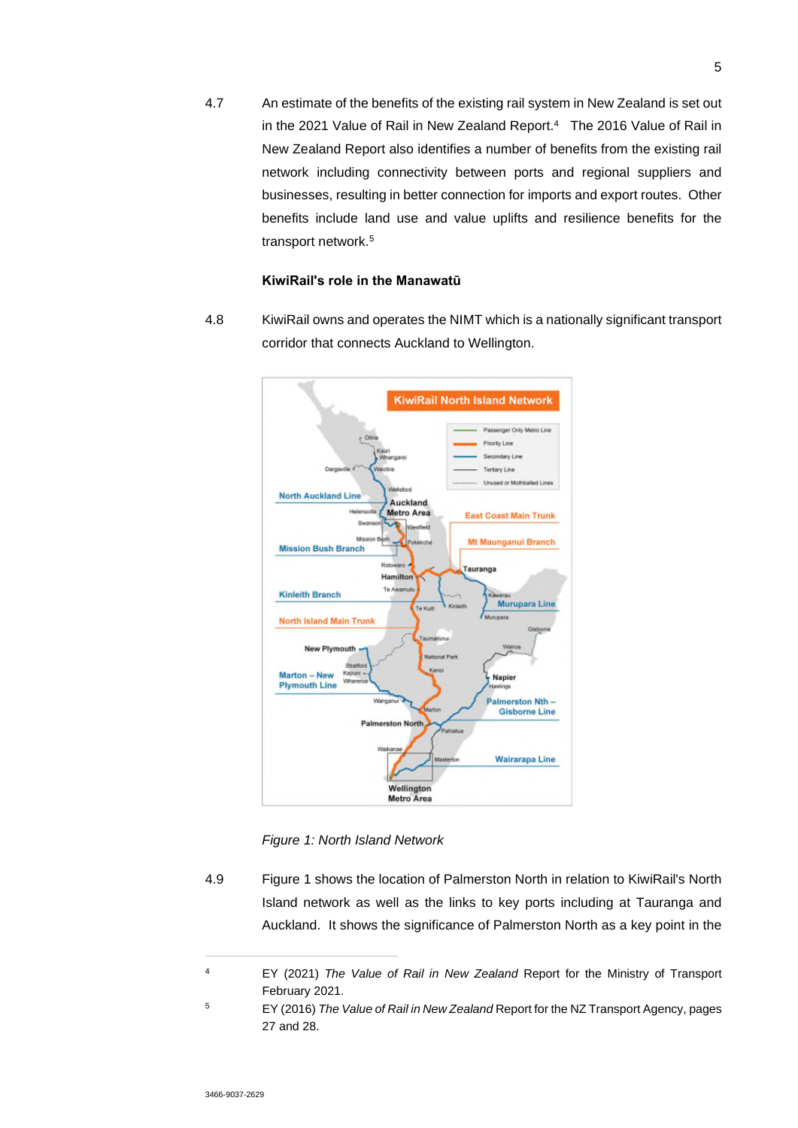4.7 An estimate of the benefits of the existing rail system in New Zealand is set out in the 2021 Value of Rail in New Zealand Report.<sup>4</sup> The 2016 Value of Rail in New Zealand Report also identifies a number of benefits from the existing rail network including connectivity between ports and regional suppliers and businesses, resulting in better connection for imports and export routes. Other benefits include land use and value uplifts and resilience benefits for the transport network.<sup>5</sup>

### **KiwiRail's role in the Manawatū**

4.8 KiwiRail owns and operates the NIMT which is a nationally significant transport corridor that connects Auckland to Wellington.



*Figure 1: North Island Network* 

4.9 Figure 1 shows the location of Palmerston North in relation to KiwiRail's North Island network as well as the links to key ports including at Tauranga and Auckland. It shows the significance of Palmerston North as a key point in the

<sup>4</sup> EY (2021) *The Value of Rail in New Zealand* Report for the Ministry of Transport February 2021.

<sup>5</sup> EY (2016) *The Value of Rail in New Zealand* Report for the NZ Transport Agency, pages 27 and 28.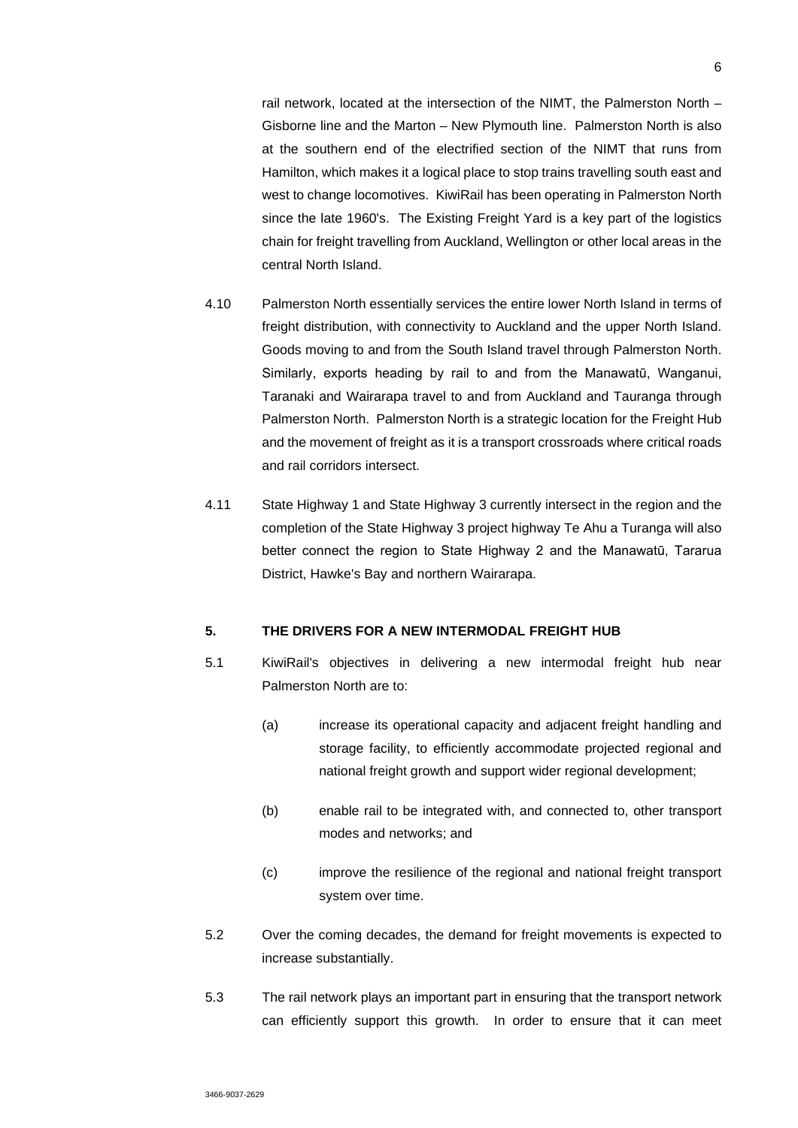rail network, located at the intersection of the NIMT, the Palmerston North – Gisborne line and the Marton – New Plymouth line. Palmerston North is also at the southern end of the electrified section of the NIMT that runs from Hamilton, which makes it a logical place to stop trains travelling south east and west to change locomotives. KiwiRail has been operating in Palmerston North since the late 1960's. The Existing Freight Yard is a key part of the logistics chain for freight travelling from Auckland, Wellington or other local areas in the central North Island.

- 4.10 Palmerston North essentially services the entire lower North Island in terms of freight distribution, with connectivity to Auckland and the upper North Island. Goods moving to and from the South Island travel through Palmerston North. Similarly, exports heading by rail to and from the Manawatū, Wanganui, Taranaki and Wairarapa travel to and from Auckland and Tauranga through Palmerston North. Palmerston North is a strategic location for the Freight Hub and the movement of freight as it is a transport crossroads where critical roads and rail corridors intersect.
- 4.11 State Highway 1 and State Highway 3 currently intersect in the region and the completion of the State Highway 3 project highway Te Ahu a Turanga will also better connect the region to State Highway 2 and the Manawatū, Tararua District, Hawke's Bay and northern Wairarapa.

### **5. THE DRIVERS FOR A NEW INTERMODAL FREIGHT HUB**

- 5.1 KiwiRail's objectives in delivering a new intermodal freight hub near Palmerston North are to:
	- (a) increase its operational capacity and adjacent freight handling and storage facility, to efficiently accommodate projected regional and national freight growth and support wider regional development;
	- (b) enable rail to be integrated with, and connected to, other transport modes and networks; and
	- (c) improve the resilience of the regional and national freight transport system over time.
- 5.2 Over the coming decades, the demand for freight movements is expected to increase substantially.
- 5.3 The rail network plays an important part in ensuring that the transport network can efficiently support this growth. In order to ensure that it can meet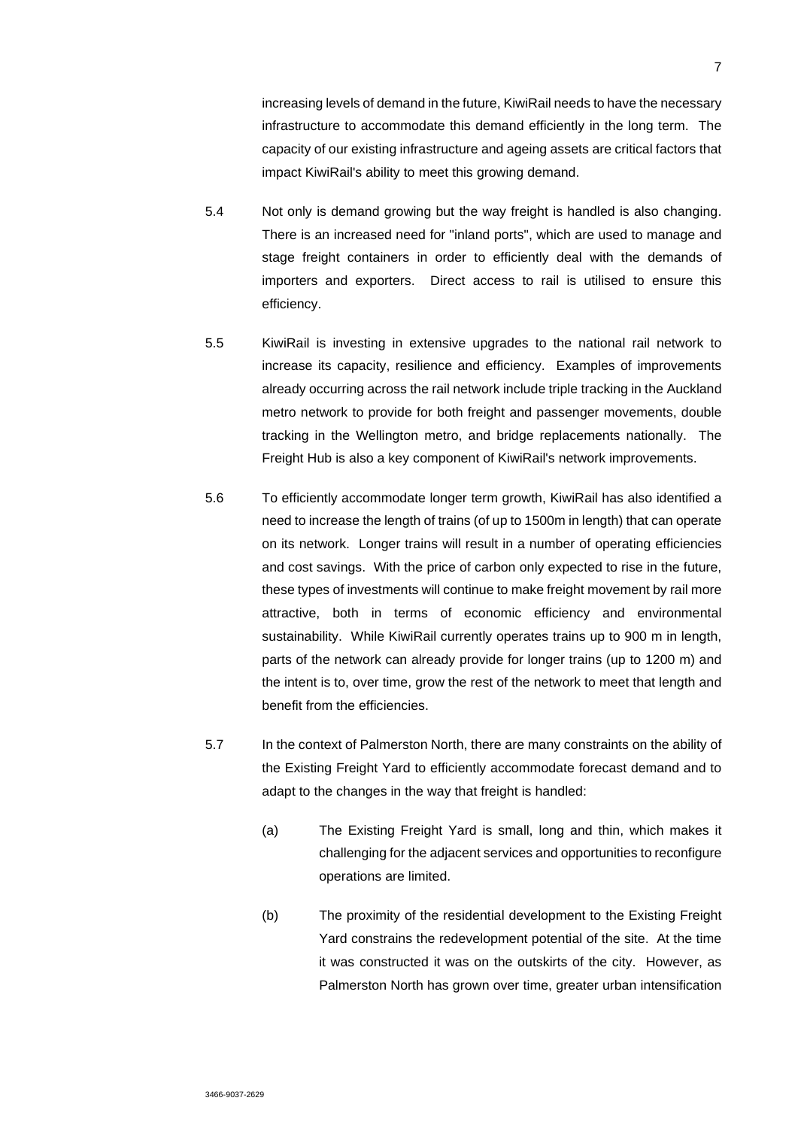increasing levels of demand in the future, KiwiRail needs to have the necessary infrastructure to accommodate this demand efficiently in the long term. The capacity of our existing infrastructure and ageing assets are critical factors that impact KiwiRail's ability to meet this growing demand.

- 5.4 Not only is demand growing but the way freight is handled is also changing. There is an increased need for "inland ports", which are used to manage and stage freight containers in order to efficiently deal with the demands of importers and exporters. Direct access to rail is utilised to ensure this efficiency.
- 5.5 KiwiRail is investing in extensive upgrades to the national rail network to increase its capacity, resilience and efficiency. Examples of improvements already occurring across the rail network include triple tracking in the Auckland metro network to provide for both freight and passenger movements, double tracking in the Wellington metro, and bridge replacements nationally. The Freight Hub is also a key component of KiwiRail's network improvements.
- 5.6 To efficiently accommodate longer term growth, KiwiRail has also identified a need to increase the length of trains (of up to 1500m in length) that can operate on its network. Longer trains will result in a number of operating efficiencies and cost savings. With the price of carbon only expected to rise in the future, these types of investments will continue to make freight movement by rail more attractive, both in terms of economic efficiency and environmental sustainability. While KiwiRail currently operates trains up to 900 m in length, parts of the network can already provide for longer trains (up to 1200 m) and the intent is to, over time, grow the rest of the network to meet that length and benefit from the efficiencies.
- 5.7 In the context of Palmerston North, there are many constraints on the ability of the Existing Freight Yard to efficiently accommodate forecast demand and to adapt to the changes in the way that freight is handled:
	- (a) The Existing Freight Yard is small, long and thin, which makes it challenging for the adjacent services and opportunities to reconfigure operations are limited.
	- (b) The proximity of the residential development to the Existing Freight Yard constrains the redevelopment potential of the site. At the time it was constructed it was on the outskirts of the city. However, as Palmerston North has grown over time, greater urban intensification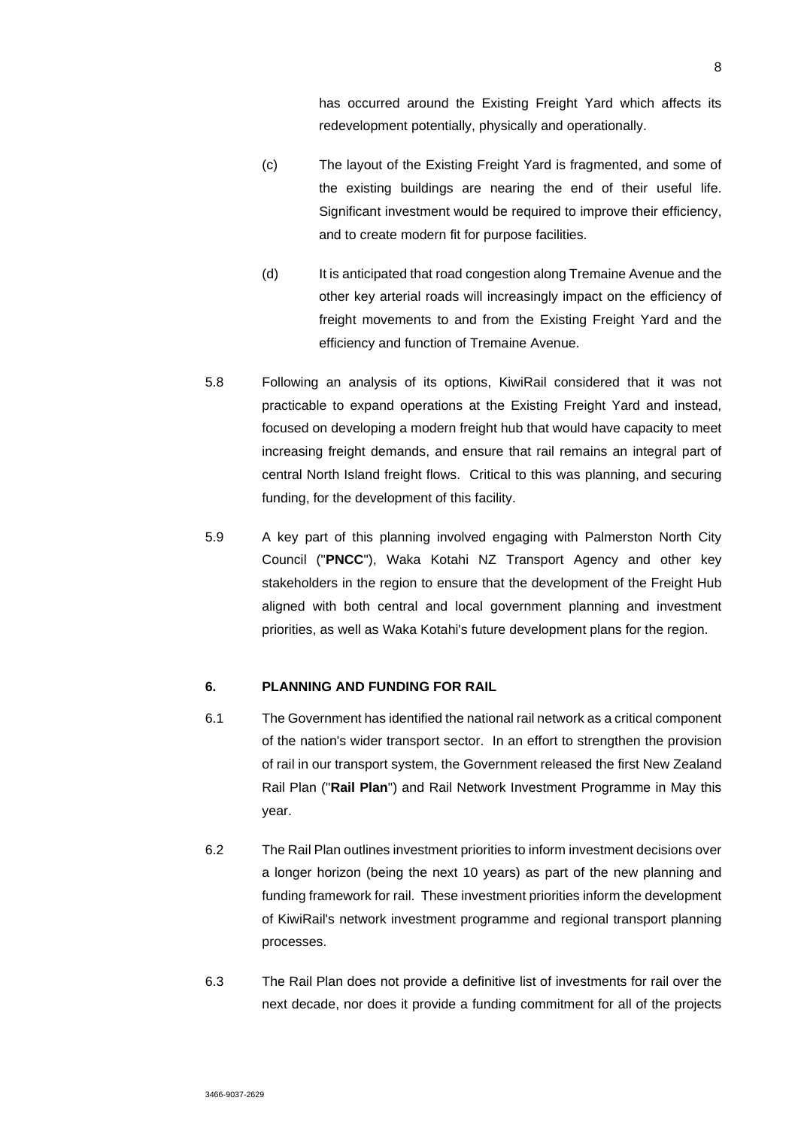has occurred around the Existing Freight Yard which affects its redevelopment potentially, physically and operationally.

- (c) The layout of the Existing Freight Yard is fragmented, and some of the existing buildings are nearing the end of their useful life. Significant investment would be required to improve their efficiency, and to create modern fit for purpose facilities.
- (d) It is anticipated that road congestion along Tremaine Avenue and the other key arterial roads will increasingly impact on the efficiency of freight movements to and from the Existing Freight Yard and the efficiency and function of Tremaine Avenue.
- 5.8 Following an analysis of its options, KiwiRail considered that it was not practicable to expand operations at the Existing Freight Yard and instead, focused on developing a modern freight hub that would have capacity to meet increasing freight demands, and ensure that rail remains an integral part of central North Island freight flows. Critical to this was planning, and securing funding, for the development of this facility.
- 5.9 A key part of this planning involved engaging with Palmerston North City Council ("**PNCC**"), Waka Kotahi NZ Transport Agency and other key stakeholders in the region to ensure that the development of the Freight Hub aligned with both central and local government planning and investment priorities, as well as Waka Kotahi's future development plans for the region.

# **6. PLANNING AND FUNDING FOR RAIL**

- 6.1 The Government has identified the national rail network as a critical component of the nation's wider transport sector. In an effort to strengthen the provision of rail in our transport system, the Government released the first New Zealand Rail Plan ("**Rail Plan**") and Rail Network Investment Programme in May this year.
- 6.2 The Rail Plan outlines investment priorities to inform investment decisions over a longer horizon (being the next 10 years) as part of the new planning and funding framework for rail. These investment priorities inform the development of KiwiRail's network investment programme and regional transport planning processes.
- 6.3 The Rail Plan does not provide a definitive list of investments for rail over the next decade, nor does it provide a funding commitment for all of the projects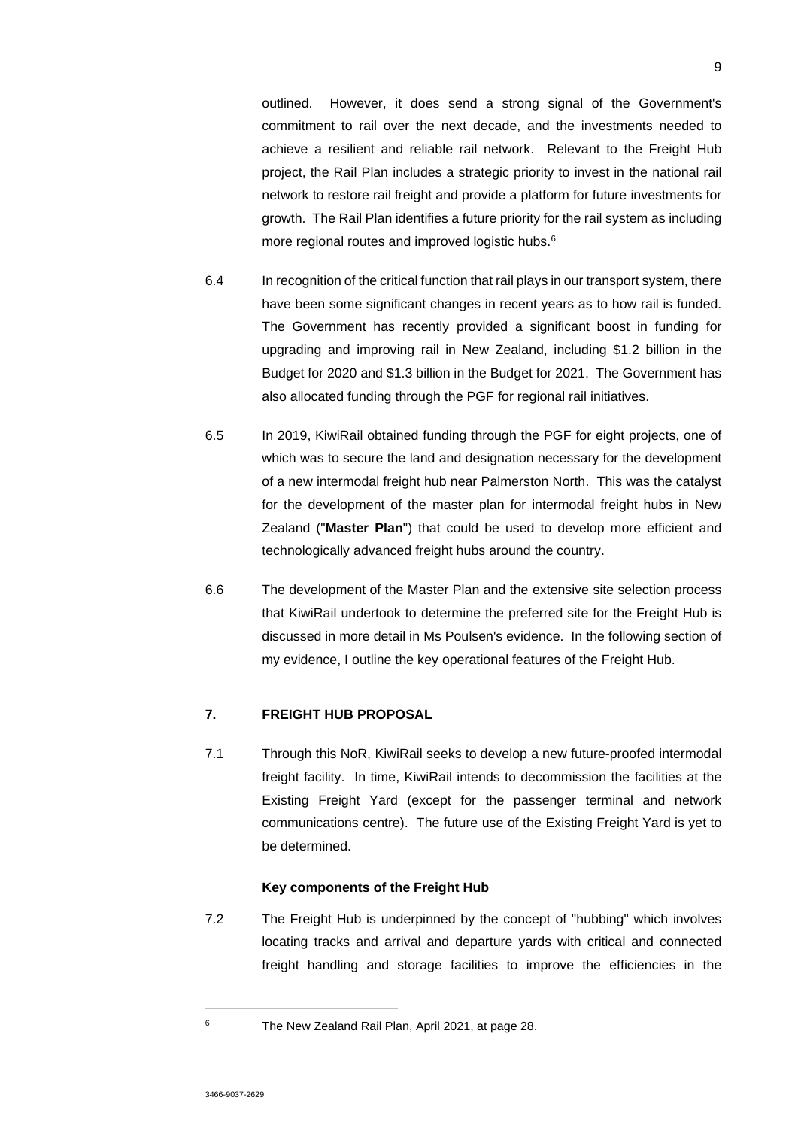outlined. However, it does send a strong signal of the Government's commitment to rail over the next decade, and the investments needed to achieve a resilient and reliable rail network. Relevant to the Freight Hub project, the Rail Plan includes a strategic priority to invest in the national rail network to restore rail freight and provide a platform for future investments for growth. The Rail Plan identifies a future priority for the rail system as including more regional routes and improved logistic hubs.<sup>6</sup>

- 6.4 In recognition of the critical function that rail plays in our transport system, there have been some significant changes in recent years as to how rail is funded. The Government has recently provided a significant boost in funding for upgrading and improving rail in New Zealand, including \$1.2 billion in the Budget for 2020 and \$1.3 billion in the Budget for 2021. The Government has also allocated funding through the PGF for regional rail initiatives.
- 6.5 In 2019, KiwiRail obtained funding through the PGF for eight projects, one of which was to secure the land and designation necessary for the development of a new intermodal freight hub near Palmerston North. This was the catalyst for the development of the master plan for intermodal freight hubs in New Zealand ("**Master Plan**") that could be used to develop more efficient and technologically advanced freight hubs around the country.
- 6.6 The development of the Master Plan and the extensive site selection process that KiwiRail undertook to determine the preferred site for the Freight Hub is discussed in more detail in Ms Poulsen's evidence. In the following section of my evidence, I outline the key operational features of the Freight Hub.

# **7. FREIGHT HUB PROPOSAL**

7.1 Through this NoR, KiwiRail seeks to develop a new future-proofed intermodal freight facility. In time, KiwiRail intends to decommission the facilities at the Existing Freight Yard (except for the passenger terminal and network communications centre). The future use of the Existing Freight Yard is yet to be determined.

### **Key components of the Freight Hub**

7.2 The Freight Hub is underpinned by the concept of "hubbing" which involves locating tracks and arrival and departure yards with critical and connected freight handling and storage facilities to improve the efficiencies in the

<sup>6</sup> The New Zealand Rail Plan, April 2021, at page 28.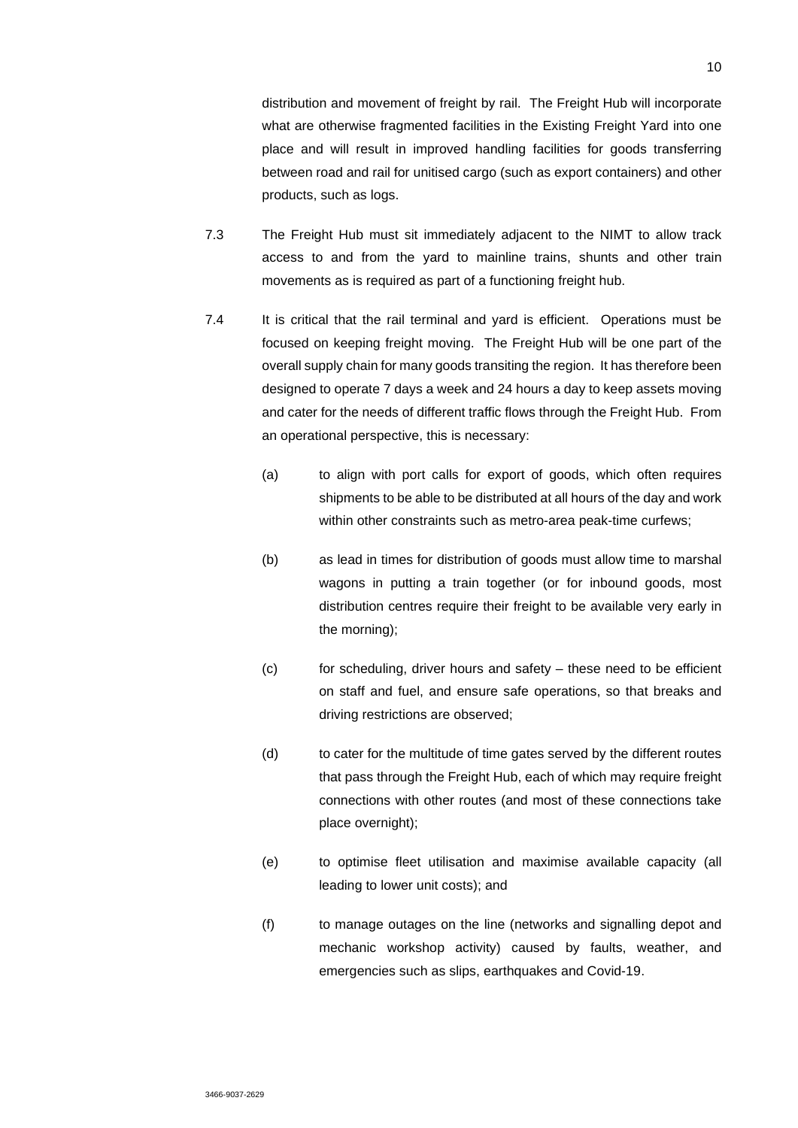distribution and movement of freight by rail. The Freight Hub will incorporate what are otherwise fragmented facilities in the Existing Freight Yard into one place and will result in improved handling facilities for goods transferring between road and rail for unitised cargo (such as export containers) and other products, such as logs.

- 7.3 The Freight Hub must sit immediately adjacent to the NIMT to allow track access to and from the yard to mainline trains, shunts and other train movements as is required as part of a functioning freight hub.
- 7.4 It is critical that the rail terminal and yard is efficient. Operations must be focused on keeping freight moving. The Freight Hub will be one part of the overall supply chain for many goods transiting the region. It has therefore been designed to operate 7 days a week and 24 hours a day to keep assets moving and cater for the needs of different traffic flows through the Freight Hub. From an operational perspective, this is necessary:
	- (a) to align with port calls for export of goods, which often requires shipments to be able to be distributed at all hours of the day and work within other constraints such as metro-area peak-time curfews;
	- (b) as lead in times for distribution of goods must allow time to marshal wagons in putting a train together (or for inbound goods, most distribution centres require their freight to be available very early in the morning);
	- $(c)$  for scheduling, driver hours and safety these need to be efficient on staff and fuel, and ensure safe operations, so that breaks and driving restrictions are observed;
	- (d) to cater for the multitude of time gates served by the different routes that pass through the Freight Hub, each of which may require freight connections with other routes (and most of these connections take place overnight);
	- (e) to optimise fleet utilisation and maximise available capacity (all leading to lower unit costs); and
	- (f) to manage outages on the line (networks and signalling depot and mechanic workshop activity) caused by faults, weather, and emergencies such as slips, earthquakes and Covid-19.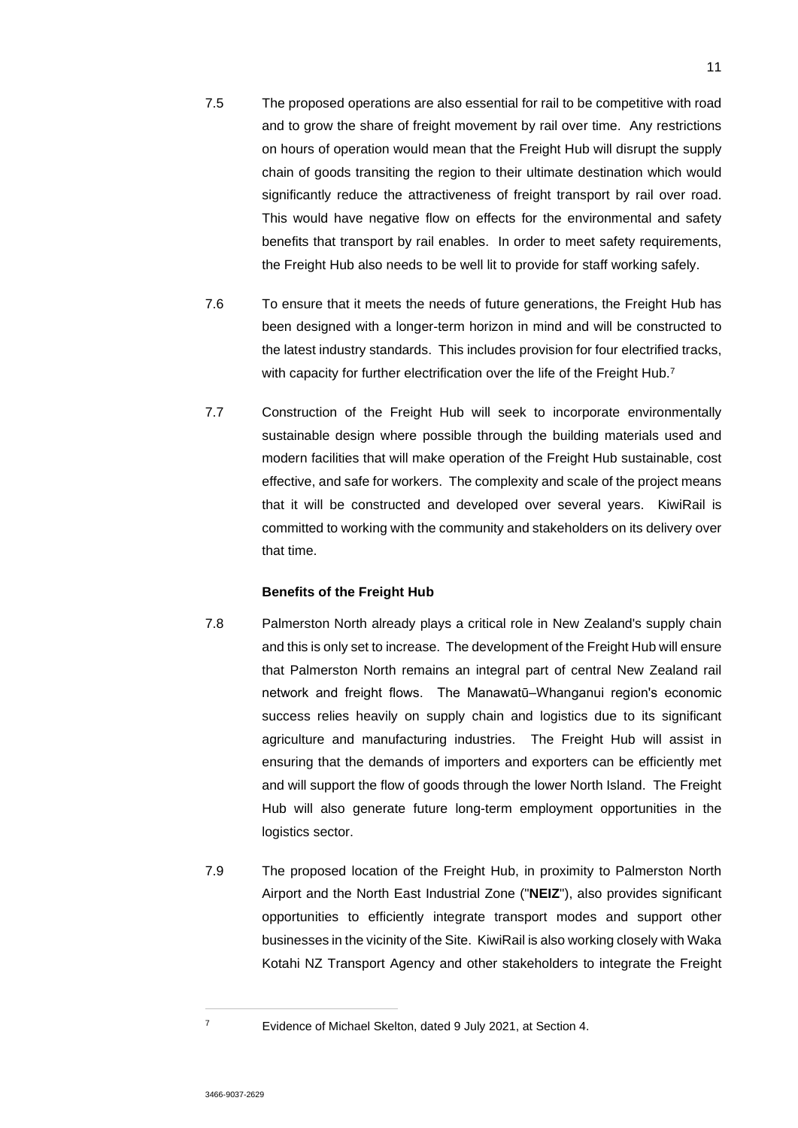- 7.5 The proposed operations are also essential for rail to be competitive with road and to grow the share of freight movement by rail over time. Any restrictions on hours of operation would mean that the Freight Hub will disrupt the supply chain of goods transiting the region to their ultimate destination which would significantly reduce the attractiveness of freight transport by rail over road. This would have negative flow on effects for the environmental and safety benefits that transport by rail enables. In order to meet safety requirements, the Freight Hub also needs to be well lit to provide for staff working safely.
- 7.6 To ensure that it meets the needs of future generations, the Freight Hub has been designed with a longer-term horizon in mind and will be constructed to the latest industry standards. This includes provision for four electrified tracks, with capacity for further electrification over the life of the Freight Hub.<sup>7</sup>
- 7.7 Construction of the Freight Hub will seek to incorporate environmentally sustainable design where possible through the building materials used and modern facilities that will make operation of the Freight Hub sustainable, cost effective, and safe for workers. The complexity and scale of the project means that it will be constructed and developed over several years. KiwiRail is committed to working with the community and stakeholders on its delivery over that time.

### **Benefits of the Freight Hub**

- 7.8 Palmerston North already plays a critical role in New Zealand's supply chain and this is only set to increase. The development of the Freight Hub will ensure that Palmerston North remains an integral part of central New Zealand rail network and freight flows. The Manawatū–Whanganui region's economic success relies heavily on supply chain and logistics due to its significant agriculture and manufacturing industries. The Freight Hub will assist in ensuring that the demands of importers and exporters can be efficiently met and will support the flow of goods through the lower North Island. The Freight Hub will also generate future long-term employment opportunities in the logistics sector.
- 7.9 The proposed location of the Freight Hub, in proximity to Palmerston North Airport and the North East Industrial Zone ("**NEIZ**"), also provides significant opportunities to efficiently integrate transport modes and support other businesses in the vicinity of the Site. KiwiRail is also working closely with Waka Kotahi NZ Transport Agency and other stakeholders to integrate the Freight

<sup>7</sup> Evidence of Michael Skelton, dated 9 July 2021, at Section 4.